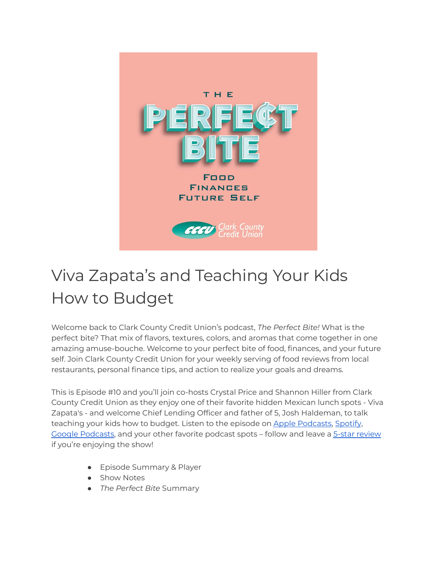

# Viva Zapata's and Teaching Your Kids How to Budget

Welcome back to Clark County Credit Union's podcast, *The Perfect Bite!* What is the perfect bite? That mix of flavors, textures, colors, and aromas that come together in one amazing amuse-bouche. Welcome to your perfect bite of food, finances, and your future self. Join Clark County Credit Union for your weekly serving of food reviews from local restaurants, personal finance tips, and action to realize your goals and dreams.

This is Episode #10 and you'll join co-hosts Crystal Price and Shannon Hiller from Clark County Credit Union as they enjoy one of their favorite hidden Mexican lunch spots - Viva Zapata's - and welcome Chief Lending Officer and father of 5, Josh Haldeman, to talk teaching your kids how to budget. Listen to the episode on Apple [Podcasts,](https://podcasts.apple.com/us/podcast/the-perfect-bite/id1604656448) [Spotify](https://open.spotify.com/show/7tNPJZBNHabGWEFmjnHaxR?si=a0a7808911264628), Google [Podcasts](https://podcasts.google.com/feed/aHR0cHM6Ly9wZXJmZWN0Yml0ZS5saWJzeW4uY29tL3Jzcw?sa=X&ved=0CAMQ4aUDahcKEwi47ZHlgPP1AhUAAAAAHQAAAAAQRA), and your other favorite podcast spots – follow and leave a 5-star [review](https://podcasts.apple.com/us/podcast/the-perfect-bite/id1604656448) if you're enjoying the show!

- Episode Summary & Player
- Show Notes
- *The Perfect Bite* Summary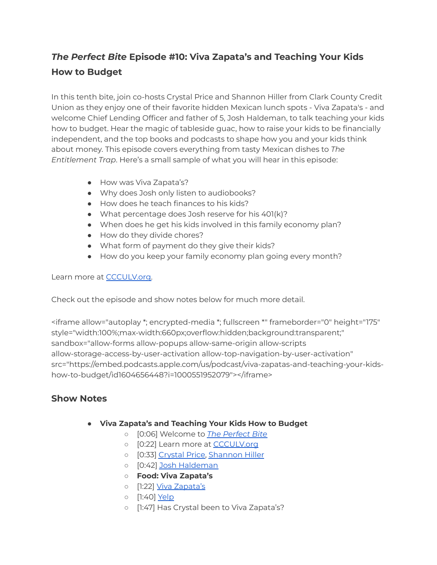# *The Perfect Bite* **Episode #10: Viva Zapata's and Teaching Your Kids How to Budget**

In this tenth bite, join co-hosts Crystal Price and Shannon Hiller from Clark County Credit Union as they enjoy one of their favorite hidden Mexican lunch spots - Viva Zapata's - and welcome Chief Lending Officer and father of 5, Josh Haldeman, to talk teaching your kids how to budget. Hear the magic of tableside guac, how to raise your kids to be financially independent, and the top books and podcasts to shape how you and your kids think about money. This episode covers everything from tasty Mexican dishes to *The Entitlement Trap*. Here's a small sample of what you will hear in this episode:

- How was Viva Zapata's?
- Why does Josh only listen to audiobooks?
- How does he teach finances to his kids?
- What percentage does Josh reserve for his 401(k)?
- When does he get his kids involved in this family economy plan?
- How do they divide chores?
- What form of payment do they give their kids?
- How do you keep your family economy plan going every month?

#### Learn more at [CCCULV.org.](https://www.ccculv.org/)

Check out the episode and show notes below for much more detail.

<iframe allow="autoplay \*; encrypted-media \*; fullscreen \*" frameborder="0" height="175" style="width:100%;max-width:660px;overflow:hidden;background:transparent;" sandbox="allow-forms allow-popups allow-same-origin allow-scripts allow-storage-access-by-user-activation allow-top-navigation-by-user-activation" src="https://embed.podcasts.apple.com/us/podcast/viva-zapatas-and-teaching-your-kidshow-to-budget/id1604656448?i=1000551952079"></iframe>

## **Show Notes**

- **Viva Zapata's and Teaching Your Kids How to Budget**
	- [0:06] Welcome to *The [Perfect](https://www.ccculv.org/) Bite*
	- [0:22] Learn more at [CCCULV.org](https://www.ccculv.org/)
	- [0:33] [Crystal](https://www.ccculv.org/Our-Mission.aspx) Price, [Shannon](https://www.ccculv.org/Our-Mission.aspx) Hiller
	- o [0:42] Josh [Haldeman](https://www.linkedin.com/in/josh-haldeman-52559313)
	- **○ Food: Viva Zapata's**
	- o [1:22] Viva [Zapata's](https://www.yelp.com/biz/viva-zapatas-mexican-restaurant-and-cantina-north-las-vegas)
	- [1:40] [Yelp](https://www.yelp.com/biz/viva-zapatas-mexican-restaurant-and-cantina-north-las-vegas)
	- [1:47] Has Crystal been to Viva Zapata's?